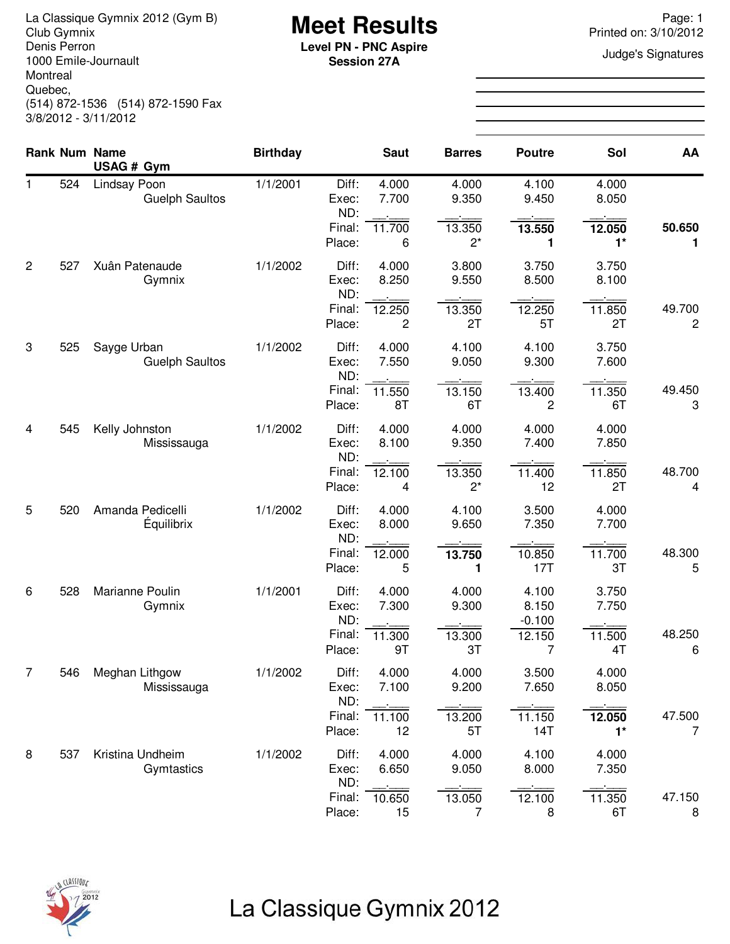La Classique Gymnix 2012 (Gym B)<br>Club Gymnix 2012 (Gym B) **Meet Results**<br>Denis Perron **Page: 1** Printed on: 3/10/2012 Denis Perron 1000 Emile-Journault Montreal Quebec, (514) 872-1536 (514) 872-1590 Fax 3/8/2012 - 3/11/2012

**Session 27A**

Printed on: 3/10/2012

**Judge's Signatures** 

|                |     | <b>Rank Num Name</b><br>USAG # Gym    | <b>Birthday</b> |                         | <b>Saut</b>    | <b>Barres</b>            | <b>Poutre</b>           | Sol            | AA                       |
|----------------|-----|---------------------------------------|-----------------|-------------------------|----------------|--------------------------|-------------------------|----------------|--------------------------|
| $\mathbf{1}$   | 524 | Lindsay Poon<br><b>Guelph Saultos</b> | 1/1/2001        | Diff:<br>Exec:<br>ND:   | 4.000<br>7.700 | 4.000<br>9.350           | 4.100<br>9.450          | 4.000<br>8.050 |                          |
|                |     |                                       |                 | Final:<br>Place:        | 11.700<br>6    | 13.350<br>$2^*$          | 13.550<br>1             | 12.050<br>$1*$ | 50.650<br>1              |
| $\overline{c}$ | 527 | Xuân Patenaude<br>Gymnix              | 1/1/2002        | Diff:<br>Exec:<br>ND:   | 4.000<br>8.250 | 3.800<br>9.550           | 3.750<br>8.500          | 3.750<br>8.100 |                          |
|                |     |                                       |                 | Final:<br>Place:        | 12.250<br>2    | 13.350<br>2T             | 12.250<br>5T            | 11.850<br>2T   | 49.700<br>$\overline{c}$ |
| 3              | 525 | Sayge Urban<br><b>Guelph Saultos</b>  | 1/1/2002        | Diff:<br>Exec:          | 4.000<br>7.550 | 4.100<br>9.050           | 4.100<br>9.300          | 3.750<br>7.600 |                          |
|                |     |                                       |                 | ND:<br>Final:<br>Place: | 11.550<br>8T   | 13.150<br>6T             | 13.400<br>2             | 11.350<br>6T   | 49.450<br>3              |
| 4              | 545 | Kelly Johnston<br>Mississauga         | 1/1/2002        | Diff:<br>Exec:<br>ND:   | 4.000<br>8.100 | 4.000<br>9.350           | 4.000<br>7.400          | 4.000<br>7.850 |                          |
|                |     |                                       |                 | Final:<br>Place:        | 12.100<br>4    | 13.350<br>$2^*$          | 11.400<br>12            | 11.850<br>2T   | 48.700<br>4              |
| 5              | 520 | Amanda Pedicelli<br>Équilibrix        | 1/1/2002        | Diff:<br>Exec:<br>ND:   | 4.000<br>8.000 | 4.100<br>9.650           | 3.500<br>7.350          | 4.000<br>7.700 |                          |
|                |     |                                       |                 | Final:<br>Place:        | 12.000<br>5    | 13.750<br>1              | 10.850<br>17T           | 11.700<br>3T   | 48.300<br>5              |
| 6              | 528 | Marianne Poulin<br>Gymnix             | 1/1/2001        | Diff:<br>Exec:          | 4.000<br>7.300 | 4.000<br>9.300           | 4.100<br>8.150          | 3.750<br>7.750 |                          |
|                |     |                                       |                 | ND:<br>Final:<br>Place: | 11.300<br>9T   | 13.300<br>3T             | $-0.100$<br>12.150<br>7 | 11.500<br>4T   | 48.250<br>6              |
| $\overline{7}$ | 546 | Meghan Lithgow<br>Mississauga         | 1/1/2002        | Diff:<br>Exec:          | 4.000<br>7.100 | 4.000<br>9.200           | 3.500<br>7.650          | 4.000<br>8.050 |                          |
|                |     |                                       |                 | ND:<br>Final:<br>Place: | 11.100<br>12   | 13.200<br>5T             | 11.150<br>14T           | 12.050<br>$1*$ | 47.500<br>7              |
| 8              | 537 | Kristina Undheim<br>Gymtastics        | 1/1/2002        | Diff:<br>Exec:          | 4.000<br>6.650 | 4.000<br>9.050           | 4.100<br>8.000          | 4.000<br>7.350 |                          |
|                |     |                                       |                 | ND:<br>Final:<br>Place: | 10.650<br>15   | 13.050<br>$\overline{7}$ | 12.100<br>8             | 11.350<br>6T   | 47.150<br>8              |

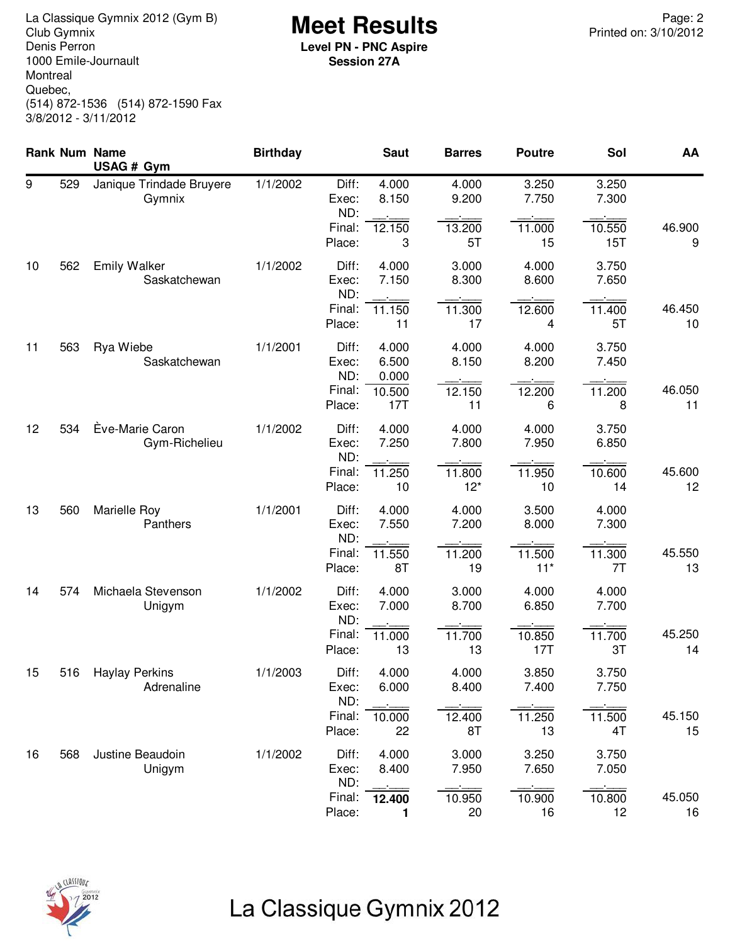**Meet Results** La Classique Gymnix 2012 (Gym B) Page: 2 Denis Perron 1000 Emile-Journault Montreal Quebec, (514) 872-1536 (514) 872-1590 Fax 3/8/2012 - 3/11/2012

**Level PN - PNC Aspire Session 27A**

|    |     | <b>Rank Num Name</b><br>USAG # Gym  | <b>Birthday</b> |                       | <b>Saut</b>             | <b>Barres</b>   | <b>Poutre</b>   | Sol            | AA           |
|----|-----|-------------------------------------|-----------------|-----------------------|-------------------------|-----------------|-----------------|----------------|--------------|
| 9  | 529 | Janique Trindade Bruyere<br>Gymnix  | 1/1/2002        | Diff:<br>Exec:<br>ND: | 4.000<br>8.150          | 4.000<br>9.200  | 3.250<br>7.750  | 3.250<br>7.300 |              |
|    |     |                                     |                 | Final:<br>Place:      | 12.150<br>3             | 13.200<br>5T    | 11.000<br>15    | 10.550<br>15T  | 46.900<br>9  |
| 10 | 562 | <b>Emily Walker</b><br>Saskatchewan | 1/1/2002        | Diff:<br>Exec:<br>ND: | 4.000<br>7.150          | 3.000<br>8.300  | 4.000<br>8.600  | 3.750<br>7.650 |              |
|    |     |                                     |                 | Final:<br>Place:      | 11.150<br>11            | 11.300<br>17    | 12.600<br>4     | 11.400<br>5T   | 46.450<br>10 |
| 11 | 563 | Rya Wiebe<br>Saskatchewan           | 1/1/2001        | Diff:<br>Exec:<br>ND: | 4.000<br>6.500<br>0.000 | 4.000<br>8.150  | 4.000<br>8.200  | 3.750<br>7.450 |              |
|    |     |                                     |                 | Final:<br>Place:      | 10.500<br>17T           | 12.150<br>11    | 12.200<br>6     | 11.200<br>8    | 46.050<br>11 |
| 12 | 534 | Eve-Marie Caron<br>Gym-Richelieu    | 1/1/2002        | Diff:<br>Exec:<br>ND: | 4.000<br>7.250          | 4.000<br>7.800  | 4.000<br>7.950  | 3.750<br>6.850 |              |
|    |     |                                     |                 | Final:<br>Place:      | 11.250<br>10            | 11.800<br>$12*$ | 11.950<br>10    | 10.600<br>14   | 45.600<br>12 |
| 13 | 560 | Marielle Roy<br>Panthers            | 1/1/2001        | Diff:<br>Exec:<br>ND: | 4.000<br>7.550          | 4.000<br>7.200  | 3.500<br>8.000  | 4.000<br>7.300 |              |
|    |     |                                     |                 | Final:<br>Place:      | 11.550<br>8T            | 11.200<br>19    | 11.500<br>$11*$ | 11.300<br>7T   | 45.550<br>13 |
| 14 | 574 | Michaela Stevenson<br>Unigym        | 1/1/2002        | Diff:<br>Exec:<br>ND: | 4.000<br>7.000          | 3.000<br>8.700  | 4.000<br>6.850  | 4.000<br>7.700 |              |
|    |     |                                     |                 | Final:<br>Place:      | 11.000<br>13            | 11.700<br>13    | 10.850<br>17T   | 11.700<br>3T   | 45.250<br>14 |
| 15 | 516 | <b>Haylay Perkins</b><br>Adrenaline | 1/1/2003        | Diff:<br>Exec:<br>ND: | 4.000<br>6.000          | 4.000<br>8.400  | 3.850<br>7.400  | 3.750<br>7.750 |              |
|    |     |                                     |                 | Final:<br>Place:      | 10.000<br>22            | 12.400<br>8T    | 11.250<br>13    | 11.500<br>4T   | 45.150<br>15 |
| 16 | 568 | Justine Beaudoin<br>Unigym          | 1/1/2002        | Diff:<br>Exec:<br>ND: | 4.000<br>8.400          | 3.000<br>7.950  | 3.250<br>7.650  | 3.750<br>7.050 |              |
|    |     |                                     |                 | Final:<br>Place:      | 12.400<br>1             | 10.950<br>20    | 10.900<br>16    | 10.800<br>12   | 45.050<br>16 |

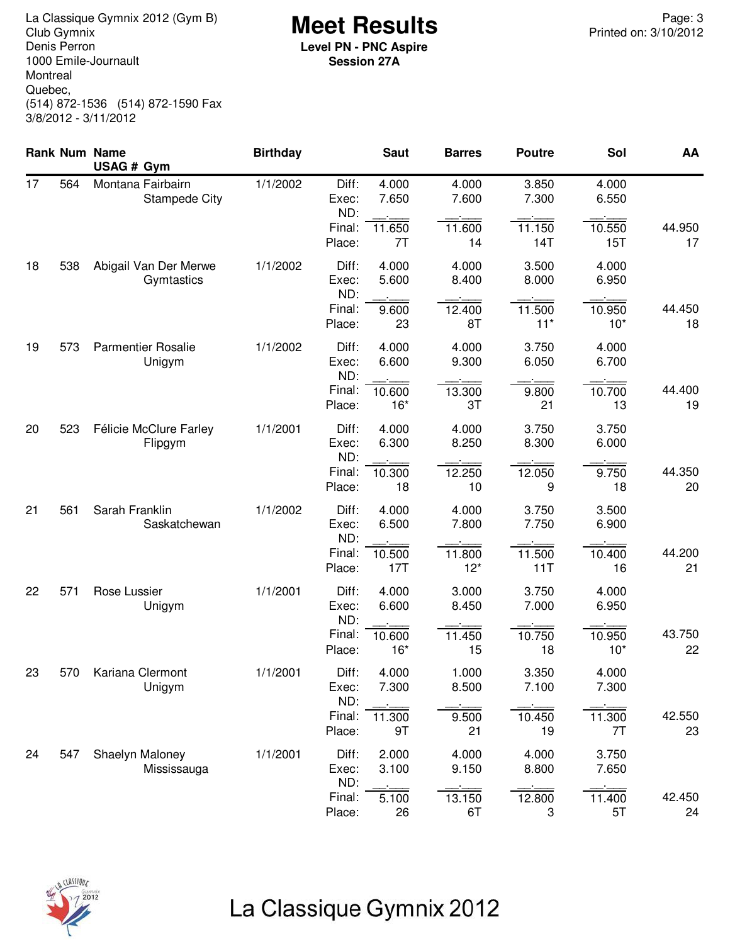**Meet Results** La Classique Gymnix 2012 (Gym B) Page: 3 Denis Perron 1000 Emile-Journault Montreal Quebec, (514) 872-1536 (514) 872-1590 Fax 3/8/2012 - 3/11/2012

**Level PN - PNC Aspire Session 27A**

|    |     | Rank Num Name<br>USAG # Gym               | <b>Birthday</b> |                         | <b>Saut</b>     | <b>Barres</b>   | <b>Poutre</b>   | Sol             | AA           |
|----|-----|-------------------------------------------|-----------------|-------------------------|-----------------|-----------------|-----------------|-----------------|--------------|
| 17 | 564 | Montana Fairbairn<br><b>Stampede City</b> | 1/1/2002        | Diff:<br>Exec:<br>ND:   | 4.000<br>7.650  | 4.000<br>7.600  | 3.850<br>7.300  | 4.000<br>6.550  |              |
|    |     |                                           |                 | Final:<br>Place:        | 11.650<br>7T    | 11.600<br>14    | 11.150<br>14T   | 10.550<br>15T   | 44.950<br>17 |
| 18 | 538 | Abigail Van Der Merwe<br>Gymtastics       | 1/1/2002        | Diff:<br>Exec:<br>ND:   | 4.000<br>5.600  | 4.000<br>8.400  | 3.500<br>8.000  | 4.000<br>6.950  |              |
|    |     |                                           |                 | Final:<br>Place:        | 9.600<br>23     | 12.400<br>8T    | 11.500<br>$11*$ | 10.950<br>$10*$ | 44.450<br>18 |
| 19 | 573 | <b>Parmentier Rosalie</b><br>Unigym       | 1/1/2002        | Diff:<br>Exec:<br>ND:   | 4.000<br>6.600  | 4.000<br>9.300  | 3.750<br>6.050  | 4.000<br>6.700  |              |
|    |     |                                           |                 | Final:<br>Place:        | 10.600<br>$16*$ | 13.300<br>3T    | 9.800<br>21     | 10.700<br>13    | 44.400<br>19 |
| 20 | 523 | Félicie McClure Farley<br>Flipgym         | 1/1/2001        | Diff:<br>Exec:<br>ND:   | 4.000<br>6.300  | 4.000<br>8.250  | 3.750<br>8.300  | 3.750<br>6.000  |              |
|    |     |                                           |                 | Final:<br>Place:        | 10.300<br>18    | 12.250<br>10    | 12.050<br>9     | 9.750<br>18     | 44.350<br>20 |
| 21 | 561 | Sarah Franklin<br>Saskatchewan            | 1/1/2002        | Diff:<br>Exec:<br>ND:   | 4.000<br>6.500  | 4.000<br>7.800  | 3.750<br>7.750  | 3.500<br>6.900  |              |
|    |     |                                           |                 | Final:<br>Place:        | 10.500<br>17T   | 11.800<br>$12*$ | 11.500<br>11T   | 10.400<br>16    | 44.200<br>21 |
| 22 | 571 | Rose Lussier<br>Unigym                    | 1/1/2001        | Diff:<br>Exec:<br>ND:   | 4.000<br>6.600  | 3.000<br>8.450  | 3.750<br>7.000  | 4.000<br>6.950  |              |
|    |     |                                           |                 | Final:<br>Place:        | 10.600<br>$16*$ | 11.450<br>15    | 10.750<br>18    | 10.950<br>$10*$ | 43.750<br>22 |
| 23 | 570 | Kariana Clermont<br>Unigym                | 1/1/2001        | Diff:<br>Exec:<br>ND:   | 4.000<br>7.300  | 1.000<br>8.500  | 3.350<br>7.100  | 4.000<br>7.300  |              |
|    |     |                                           |                 | Final:<br>Place:        | 11.300<br>9T    | 9.500<br>21     | 10.450<br>19    | 11.300<br>7T    | 42.550<br>23 |
| 24 | 547 | Shaelyn Maloney<br>Mississauga            | 1/1/2001        | Diff:<br>Exec:          | 2.000<br>3.100  | 4.000<br>9.150  | 4.000<br>8.800  | 3.750<br>7.650  |              |
|    |     |                                           |                 | ND:<br>Final:<br>Place: | 5.100<br>26     | 13.150<br>6T    | 12.800<br>3     | 11.400<br>5T    | 42.450<br>24 |

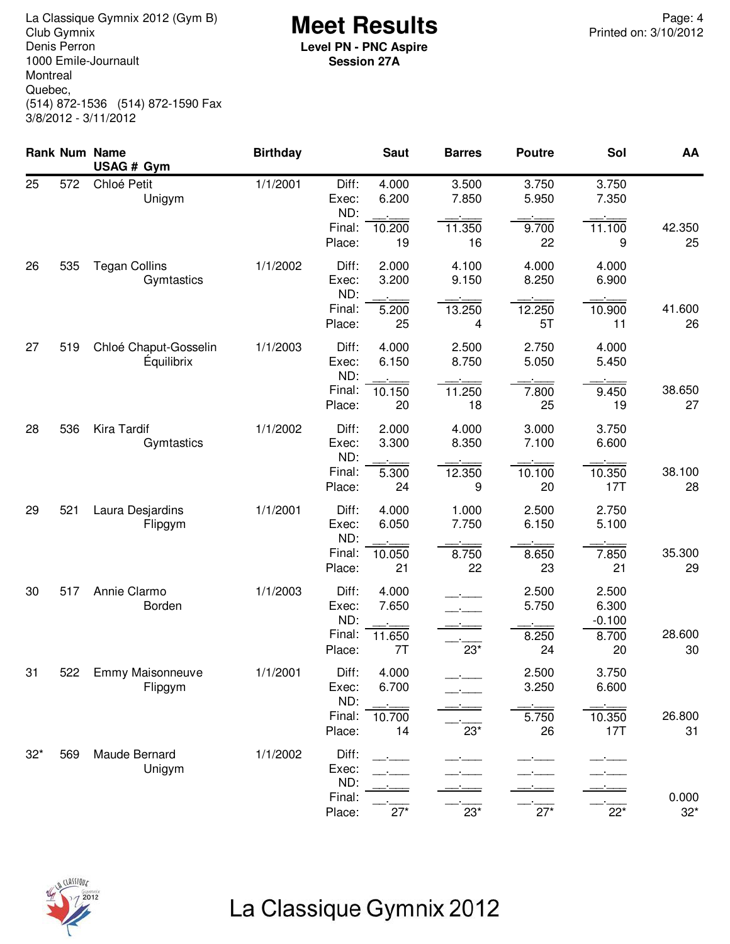**Meet Results** La Classique Gymnix 2012 (Gym B) Page: 4 Denis Perron 1000 Emile-Journault Montreal Quebec, (514) 872-1536 (514) 872-1590 Fax 3/8/2012 - 3/11/2012

**Level PN - PNC Aspire Session 27A**

|       |     | <b>Rank Num Name</b><br>USAG # Gym         | <b>Birthday</b> |                       | <b>Saut</b>    | <b>Barres</b>             | <b>Poutre</b>  | Sol                        | AA                    |
|-------|-----|--------------------------------------------|-----------------|-----------------------|----------------|---------------------------|----------------|----------------------------|-----------------------|
| 25    | 572 | Chloé Petit<br>Unigym                      | 1/1/2001        | Diff:<br>Exec:<br>ND: | 4.000<br>6.200 | 3.500<br>7.850            | 3.750<br>5.950 | 3.750<br>7.350             |                       |
|       |     |                                            |                 | Final:<br>Place:      | 10.200<br>19   | $11.\overline{350}$<br>16 | 9.700<br>22    | 11.100<br>9                | 42.350<br>25          |
| 26    | 535 | <b>Tegan Collins</b><br>Gymtastics         | 1/1/2002        | Diff:<br>Exec:<br>ND: | 2.000<br>3.200 | 4.100<br>9.150            | 4.000<br>8.250 | 4.000<br>6.900             |                       |
|       |     |                                            |                 | Final:<br>Place:      | 5.200<br>25    | 13.250<br>4               | 12.250<br>5T   | 10.900<br>11               | 41.600<br>26          |
| 27    | 519 | Chloé Chaput-Gosselin<br><b>Équilibrix</b> | 1/1/2003        | Diff:<br>Exec:<br>ND: | 4.000<br>6.150 | 2.500<br>8.750            | 2.750<br>5.050 | 4.000<br>5.450             |                       |
|       |     |                                            |                 | Final:<br>Place:      | 10.150<br>20   | 11.250<br>18              | 7.800<br>25    | 9.450<br>19                | 38.650<br>27          |
| 28    | 536 | <b>Kira Tardif</b><br>Gymtastics           | 1/1/2002        | Diff:<br>Exec:<br>ND: | 2.000<br>3.300 | 4.000<br>8.350            | 3.000<br>7.100 | 3.750<br>6.600             |                       |
|       |     |                                            |                 | Final:<br>Place:      | 5.300<br>24    | 12.350<br>9               | 10.100<br>20   | 10.350<br>17T              | 38.100<br>28          |
| 29    | 521 | Laura Desjardins<br>Flipgym                | 1/1/2001        | Diff:<br>Exec:<br>ND: | 4.000<br>6.050 | 1.000<br>7.750            | 2.500<br>6.150 | 2.750<br>5.100             |                       |
|       |     |                                            |                 | Final:<br>Place:      | 10.050<br>21   | 8.750<br>22               | 8.650<br>23    | 7.850<br>21                | 35.300<br>29          |
| 30    | 517 | Annie Clarmo<br>Borden                     | 1/1/2003        | Diff:<br>Exec:<br>ND: | 4.000<br>7.650 |                           | 2.500<br>5.750 | 2.500<br>6.300<br>$-0.100$ |                       |
|       |     |                                            |                 | Final:<br>Place:      | 11.650<br>7T   | $23*$                     | 8.250<br>24    | 8.700<br>20                | 28.600<br>30          |
| 31    | 522 | Emmy Maisonneuve<br>Flipgym                | 1/1/2001        | Diff:<br>Exec:<br>ND: | 4.000<br>6.700 |                           | 2.500<br>3.250 | 3.750<br>6.600             |                       |
|       |     |                                            |                 | Final:<br>Place:      | 10.700<br>14   | $23*$                     | 5.750<br>26    | 10.350<br>17T              | 26.800<br>31          |
| $32*$ | 569 | Maude Bernard<br>Unigym                    | 1/1/2002        | Diff:<br>Exec:<br>ND: |                |                           |                |                            |                       |
|       |     |                                            |                 | Final:<br>Place:      | $27*$          | $23*$                     | $27*$          | $22*$                      | 0.000<br>$32^{\star}$ |